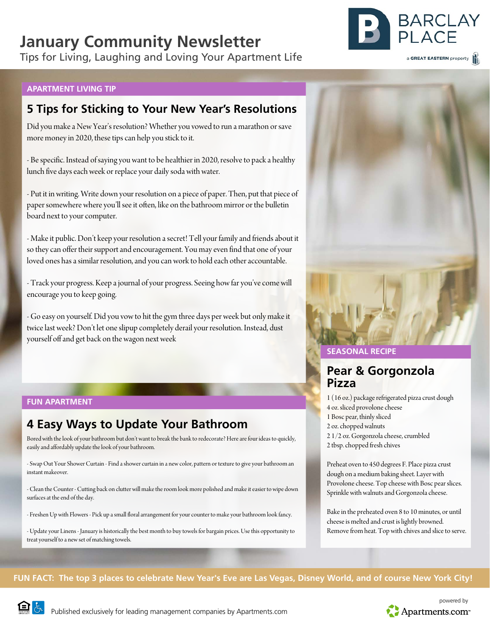# **January Community Newsletter**

Tips for Living, Laughing and Loving Your Apartment Life



### **APARTMENT LIVING TIP**

# **5 Tips for Sticking to Your New Year's Resolutions**

Did you make a New Year's resolution? Whether you vowed to run a marathon or save more money in 2020, these tips can help you stick to it.

- Be specific. Instead of saying you want to be healthier in 2020, resolve to pack a healthy lunch five days each week or replace your daily soda with water.

- Put it in writing. Write down your resolution on a piece of paper. Then, put that piece of paper somewhere where you'll see it often, like on the bathroom mirror or the bulletin board next to your computer.

- Make it public. Don't keep your resolution a secret! Tell your family and friends about it so they can offer their support and encouragement. You may even find that one of your loved ones has a similar resolution, and you can work to hold each other accountable.

- Track your progress. Keep a journal of your progress. Seeing how far you've come will encourage you to keep going.

- Go easy on yourself. Did you vow to hit the gym three days per week but only make it twice last week? Don't let one slipup completely derail your resolution. Instead, dust yourself off and get back on the wagon next week

### **FUN APARTMENT**

# **4 Easy Ways to Update Your Bathroom**

Bored with the look of your bathroom but don't want to break the bank to redecorate? Here are four ideas to quickly, easily and affordably update the look of your bathroom.

- Swap Out Your Shower Curtain - Find a shower curtain in a new color, pattern or texture to give your bathroom an instant makeover.

- Clean the Counter - Cutting back on clutter will make the room look more polished and make it easier to wipe down surfaces at the end of the day.

- Freshen Up with Flowers - Pick up a small floral arrangement for your counter to make your bathroom look fancy.

- Update your Linens - January is historically the best month to buy towels for bargain prices. Use this opportunity to treat yourself to a new set of matching towels.



## **SEASONAL RECIPE**

# **Pear & Gorgonzola Pizza**

1 (16 oz.) package refrigerated pizza crust dough 4 oz. sliced provolone cheese 1 Bosc pear, thinly sliced 2 oz. chopped walnuts 2 1/2 oz. Gorgonzola cheese, crumbled 2 tbsp. chopped fresh chives

Preheat oven to 450 degrees F. Place pizza crust dough on a medium baking sheet. Layer with Provolone cheese. Top cheese with Bosc pear slices. Sprinkle with walnuts and Gorgonzola cheese.

Bake in the preheated oven 8 to 10 minutes, or until cheese is melted and crust is lightly browned. Remove from heat. Top with chives and slice to serve.

## **FUN FACT: The top 3 places to celebrate New Year's Eve are Las Vegas, Disney World, and of course New York City!**